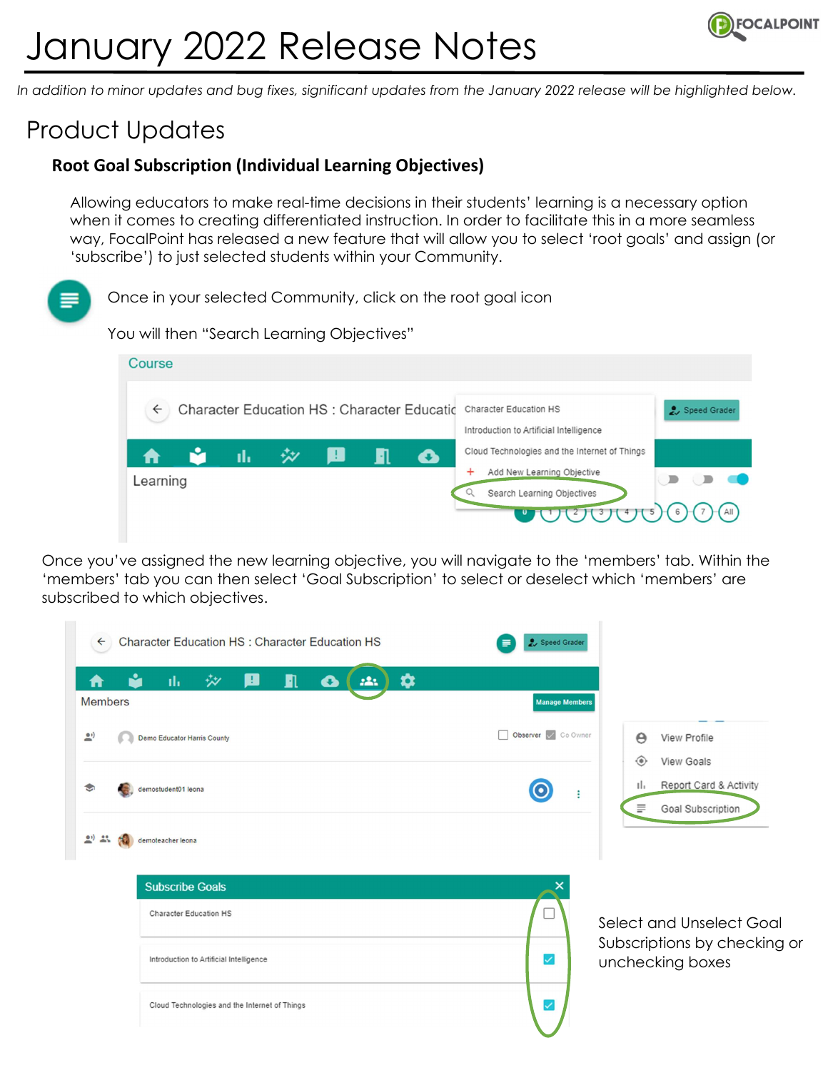# January 2022 Release Notes



In addition to minor updates and bug fixes, significant updates from the January 2022 release will be highlighted below.

## Product Updates

### Root Goal Subscription (Individual Learning Objectives)

Allowing educators to make real-time decisions in their students' learning is a necessary option when it comes to creating differentiated instruction. In order to facilitate this in a more seamless way, FocalPoint has released a new feature that will allow you to select 'root goals' and assign (or 'subscribe') to just selected students within your Community.

Once in your selected Community, click on the root goal icon

You will then "Search Learning Objectives"



Once you've assigned the new learning objective, you will navigate to the 'members' tab. Within the 'members' tab you can then select 'Goal Subscription' to select or deselect which 'members' are subscribed to which objectives.

| Character Education HS : Character Education HS<br>$\leftarrow$ | Speed Grader<br>≡                                                                        |
|-----------------------------------------------------------------|------------------------------------------------------------------------------------------|
| ✿<br>n<br>ılı.<br>玅<br>▵<br>221<br><b>Members</b>               | <b>Manage Members</b>                                                                    |
| $\mathbf{e}$<br>Demo Educator Harris County                     | Observer Co Owner<br>$\Theta$<br>View Profile<br>View Goals<br>$\langle \bullet \rangle$ |
| demostudent01 leona                                             | Report Card & Activity<br>ıl.<br>÷<br>m <sub>i</sub><br>Goal Subscription                |
| $20 - 25$<br>demoteacher leona                                  |                                                                                          |
| <b>Subscribe Goals</b>                                          |                                                                                          |
| Character Education HS                                          | Select and Unselect Goal                                                                 |
| Introduction to Artificial Intelligence                         | Subscriptions by checking or<br>$\checkmark$<br>unchecking boxes                         |
| Cloud Technologies and the Internet of Things                   | ✓                                                                                        |